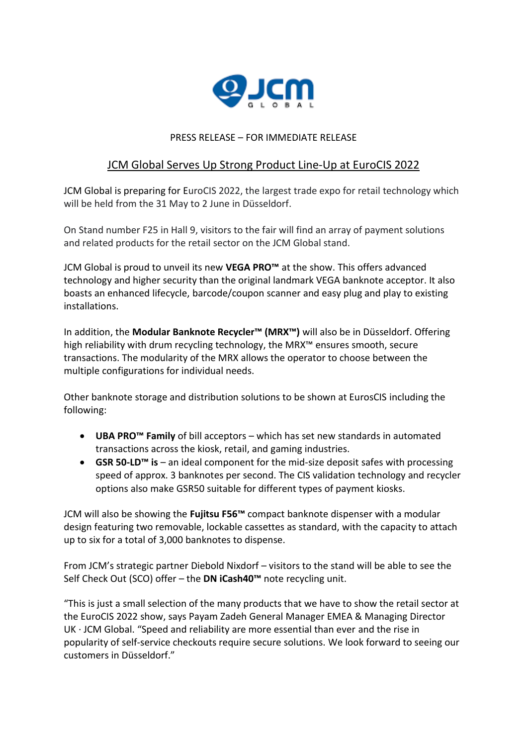

## PRESS RELEASE – FOR IMMEDIATE RELEASE

## JCM Global Serves Up Strong Product Line-Up at EuroCIS 2022

JCM Global is preparing for EuroCIS 2022, the largest trade expo for retail technology which will be held from the 31 May to 2 June in Düsseldorf.

On Stand number F25 in Hall 9, visitors to the fair will find an array of payment solutions and related products for the retail sector on the JCM Global stand.

JCM Global is proud to unveil its new **VEGA PRO™** at the show. This offers advanced technology and higher security than the original landmark VEGA banknote acceptor. It also boasts an enhanced lifecycle, barcode/coupon scanner and easy plug and play to existing installations.

In addition, the **Modular Banknote Recycler™ (MRX™)** will also be in Düsseldorf. Offering high reliability with drum recycling technology, the MRX™ ensures smooth, secure transactions. The modularity of the MRX allows the operator to choose between the multiple configurations for individual needs.

Other banknote storage and distribution solutions to be shown at EurosCIS including the following:

- **UBA PRO™ Family** of bill acceptors which has set new standards in automated transactions across the kiosk, retail, and gaming industries.
- **GSR 50-LD™ is** an ideal component for the mid-size deposit safes with processing speed of approx. 3 banknotes per second. The CIS validation technology and recycler options also make GSR50 suitable for different types of payment kiosks.

JCM will also be showing the **Fujitsu F56™** compact banknote dispenser with a modular design featuring two removable, lockable cassettes as standard, with the capacity to attach up to six for a total of 3,000 banknotes to dispense.

From JCM's strategic partner Diebold Nixdorf – visitors to the stand will be able to see the Self Check Out (SCO) offer – the **DN iCash40™** note recycling unit.

"This is just a small selection of the many products that we have to show the retail sector at the EuroCIS 2022 show, says Payam Zadeh General Manager EMEA & Managing Director UK · JCM Global. "Speed and reliability are more essential than ever and the rise in popularity of self-service checkouts require secure solutions. We look forward to seeing our customers in Düsseldorf."